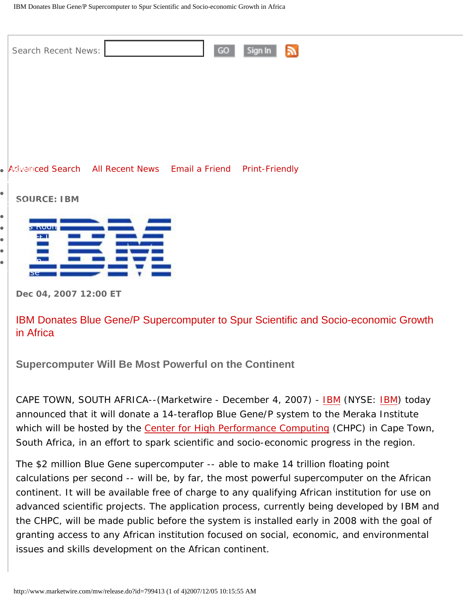|                                                               | $\mathbb{Z}$<br>Sign In<br>Search Recent News:<br>GO            |
|---------------------------------------------------------------|-----------------------------------------------------------------|
|                                                               |                                                                 |
|                                                               |                                                                 |
|                                                               | • Advanced Search All Recent News Email a Friend Print-Friendly |
| $\bullet$                                                     | <b>SOURCE: IBM</b>                                              |
| $\bullet$<br>$\bullet$<br>$\bullet$<br>$\bullet$<br>$\bullet$ | <b>S KUUN</b><br>531<br>5e                                      |
|                                                               | Dec 04, 2007 12:00 ET                                           |

IBM Donates Blue Gene/P Supercomputer to Spur Scientific and Socio-economic Growth in Africa

**Supercomputer Will Be Most Powerful on the Continent**

CAPE TOWN, SOUTH AFRICA--(Marketwire - December 4, 2007) - [IBM](http://www.ibm.com/us/%5d) (NYSE: [IBM](http://www.ibm.com/investor/)) today announced that it will donate a 14-teraflop Blue Gene/P system to the Meraka Institute which will be hosted by the [Center for High Performance Computing](http://www.chpc.ac.za/) (CHPC) in Cape Town, South Africa, in an effort to spark scientific and socio-economic progress in the region.

The \$2 million Blue Gene supercomputer -- able to make 14 trillion floating point calculations per second -- will be, by far, the most powerful supercomputer on the African continent. It will be available free of charge to any qualifying African institution for use on advanced scientific projects. The application process, currently being developed by IBM and the CHPC, will be made public before the system is installed early in 2008 with the goal of granting access to any African institution focused on social, economic, and environmental issues and skills development on the African continent.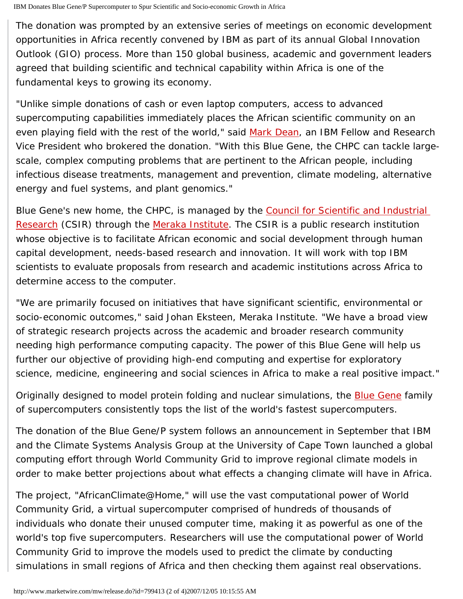The donation was prompted by an extensive series of meetings on economic development opportunities in Africa recently convened by IBM as part of its annual Global Innovation Outlook (GIO) process. More than 150 global business, academic and government leaders agreed that building scientific and technical capability within Africa is one of the fundamental keys to growing its economy.

"Unlike simple donations of cash or even laptop computers, access to advanced supercomputing capabilities immediately places the African scientific community on an even playing field with the rest of the world," said [Mark Dean](http://domino.research.ibm.com/comm/research_people.nsf/pages/dean.index.html?Open&printable), an IBM Fellow and Research Vice President who brokered the donation. "With this Blue Gene, the CHPC can tackle largescale, complex computing problems that are pertinent to the African people, including infectious disease treatments, management and prevention, climate modeling, alternative energy and fuel systems, and plant genomics."

Blue Gene's new home, the CHPC, is managed by the Council for Scientific and Industrial [Research](http://www.csir.co.za/) (CSIR) through the [Meraka Institute](http://www.meraka.org.za/). The CSIR is a public research institution whose objective is to facilitate African economic and social development through human capital development, needs-based research and innovation. It will work with top IBM scientists to evaluate proposals from research and academic institutions across Africa to determine access to the computer.

"We are primarily focused on initiatives that have significant scientific, environmental or socio-economic outcomes," said Johan Eksteen, Meraka Institute. "We have a broad view of strategic research projects across the academic and broader research community needing high performance computing capacity. The power of this Blue Gene will help us further our objective of providing high-end computing and expertise for exploratory science, medicine, engineering and social sciences in Africa to make a real positive impact."

Originally designed to model protein folding and nuclear simulations, the **[Blue Gene](http://www-01.ibm.com/chips/techlib/techlib.nsf/products/Blue_Gene)** family of supercomputers consistently tops the list of the world's fastest supercomputers.

The donation of the Blue Gene/P system follows an announcement in September that IBM and the Climate Systems Analysis Group at the University of Cape Town launched a global computing effort through World Community Grid to improve regional climate models in order to make better projections about what effects a changing climate will have in Africa.

The project, "AfricanClimate@Home," will use the vast computational power of World Community Grid, a virtual supercomputer comprised of hundreds of thousands of individuals who donate their unused computer time, making it as powerful as one of the world's top five supercomputers. Researchers will use the computational power of World Community Grid to improve the models used to predict the climate by conducting simulations in small regions of Africa and then checking them against real observations.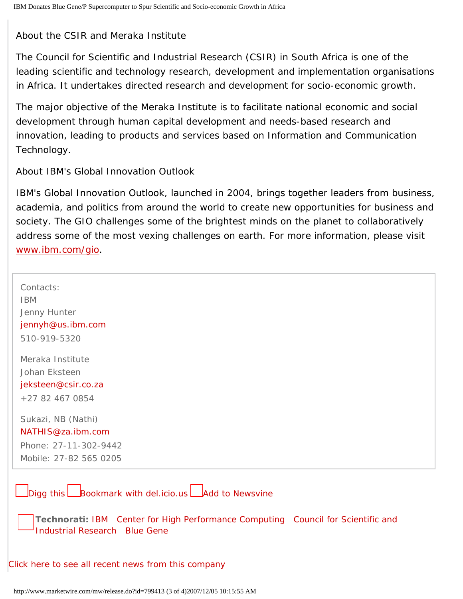About the CSIR and Meraka Institute

The Council for Scientific and Industrial Research (CSIR) in South Africa is one of the leading scientific and technology research, development and implementation organisations in Africa. It undertakes directed research and development for socio-economic growth.

The major objective of the Meraka Institute is to facilitate national economic and social development through human capital development and needs-based research and innovation, leading to products and services based on Information and Communication Technology.

About IBM's Global Innovation Outlook

IBM's Global Innovation Outlook, launched in 2004, brings together leaders from business, academia, and politics from around the world to create new opportunities for business and society. The GIO challenges some of the brightest minds on the planet to collaboratively address some of the most vexing challenges on earth. For more information, please visit [www.ibm.com/gio](http://www.ibm.com/gio).